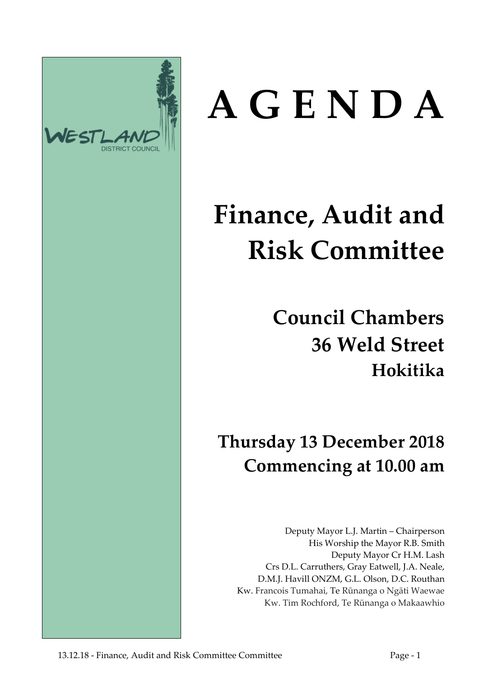

# **A G E N D A**

# **Finance, Audit and Risk Committee**

**Council Chambers 36 Weld Street Hokitika**

**Thursday 13 December 2018 Commencing at 10.00 am**

Deputy Mayor L.J. Martin – Chairperson His Worship the Mayor R.B. Smith Deputy Mayor Cr H.M. Lash Crs D.L. Carruthers, Gray Eatwell, J.A. Neale, D.M.J. Havill ONZM, G.L. Olson, D.C. Routhan Kw. Francois Tumahai, Te Rūnanga o Ngāti Waewae Kw. Tim Rochford, Te Rūnanga o Makaawhio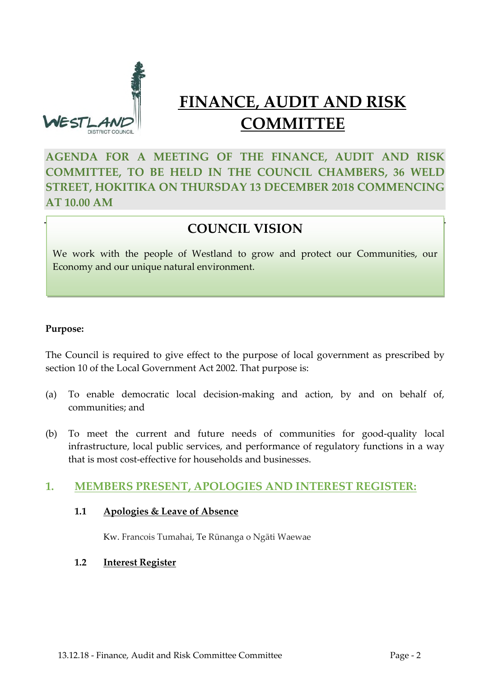

### **FINANCE, AUDIT AND RISK COMMITTEE**

**AGENDA FOR A MEETING OF THE FINANCE, AUDIT AND RISK COMMITTEE, TO BE HELD IN THE COUNCIL CHAMBERS, 36 WELD STREET, HOKITIKA ON THURSDAY 13 DECEMBER 2018 COMMENCING AT 10.00 AM**

#### **COUNCIL VISION**

We work with the people of Westland to grow and protect our Communities, our Economy and our unique natural environment.

#### **Purpose:**

The Council is required to give effect to the purpose of local government as prescribed by section 10 of the Local Government Act 2002. That purpose is:

- (a) To enable democratic local decision-making and action, by and on behalf of, communities; and
- (b) To meet the current and future needs of communities for good-quality local infrastructure, local public services, and performance of regulatory functions in a way that is most cost-effective for households and businesses.

#### **1. MEMBERS PRESENT, APOLOGIES AND INTEREST REGISTER:**

#### **1.1 Apologies & Leave of Absence**

Kw. Francois Tumahai, Te Rūnanga o Ngāti Waewae

#### **1.2 Interest Register**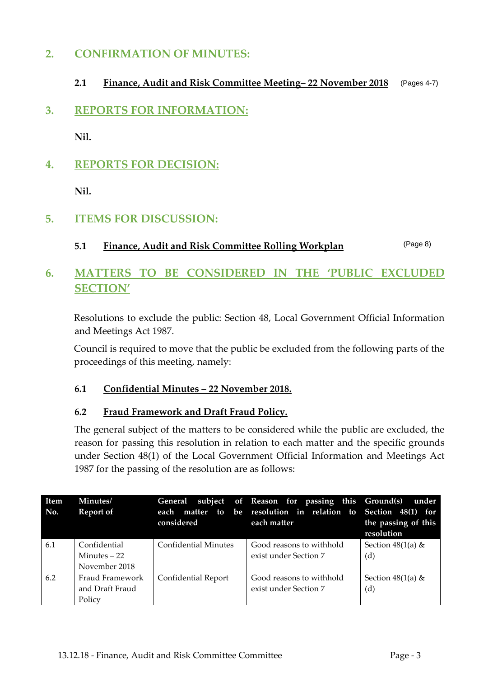#### **2. CONFIRMATION OF MINUTES:**

#### **2.1 Finance, Audit and Risk Committee Meeting– 22 November 2018** (Pages 4-7)

**3. REPORTS FOR INFORMATION:**

**Nil.**

**4. REPORTS FOR DECISION:**

**Nil.**

#### **5. ITEMS FOR DISCUSSION:**

**5.1 Finance, Audit and Risk Committee Rolling Workplan** (Page 8)

#### **6. MATTERS TO BE CONSIDERED IN THE 'PUBLIC EXCLUDED SECTION'**

Resolutions to exclude the public: Section 48, Local Government Official Information and Meetings Act 1987.

Council is required to move that the public be excluded from the following parts of the proceedings of this meeting, namely:

#### **6.1 Confidential Minutes – 22 November 2018.**

#### **6.2 Fraud Framework and Draft Fraud Policy.**

The general subject of the matters to be considered while the public are excluded, the reason for passing this resolution in relation to each matter and the specific grounds under Section 48(1) of the Local Government Official Information and Meetings Act 1987 for the passing of the resolution are as follows:

| Item<br>No. | Minutes/<br>Report of                          | each<br>considered          | General subject of Reason for passing this Ground(s)<br>matter to be resolution in relation to Section 48(1) for<br>each matter | under<br>the passing of this<br>resolution |  |
|-------------|------------------------------------------------|-----------------------------|---------------------------------------------------------------------------------------------------------------------------------|--------------------------------------------|--|
| 6.1         | Confidential<br>Minutes $-22$<br>November 2018 | <b>Confidential Minutes</b> | Good reasons to withhold<br>exist under Section 7                                                                               | Section $48(1(a)$ &<br>(d)                 |  |
| 6.2         | Fraud Framework<br>and Draft Fraud<br>Policy   | Confidential Report         | Good reasons to withhold<br>exist under Section 7                                                                               | Section $48(1(a)$ &<br>(d)                 |  |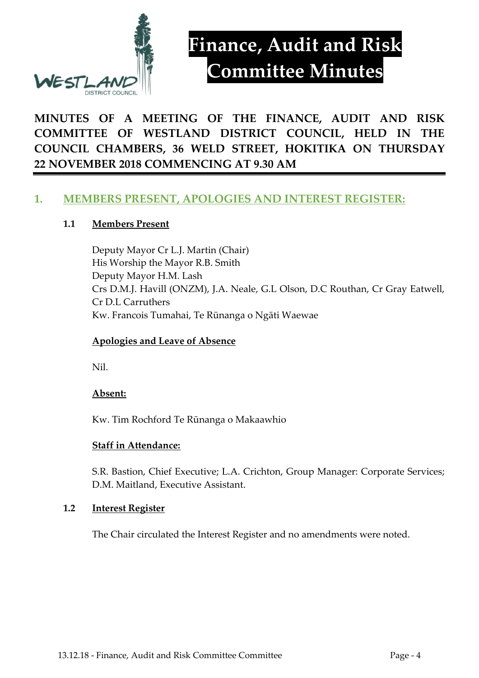

## **Finance, Audit and Risk Committee Minutes**

**MINUTES OF A MEETING OF THE FINANCE, AUDIT AND RISK COMMITTEE OF WESTLAND DISTRICT COUNCIL, HELD IN THE COUNCIL CHAMBERS, 36 WELD STREET, HOKITIKA ON THURSDAY 22 NOVEMBER 2018 COMMENCING AT 9.30 AM**

#### **1. MEMBERS PRESENT, APOLOGIES AND INTEREST REGISTER:**

#### **1.1 Members Present**

Deputy Mayor Cr L.J. Martin (Chair) His Worship the Mayor R.B. Smith Deputy Mayor H.M. Lash Crs D.M.J. Havill (ONZM), J.A. Neale, G.L Olson, D.C Routhan, Cr Gray Eatwell, Cr D.L Carruthers Kw. Francois Tumahai, Te Rūnanga o Ngāti Waewae

#### **Apologies and Leave of Absence**

Nil.

#### **Absent:**

Kw. Tim Rochford Te Rūnanga o Makaawhio

#### **Staff in Attendance:**

S.R. Bastion, Chief Executive; L.A. Crichton, Group Manager: Corporate Services; D.M. Maitland, Executive Assistant.

#### **1.2 Interest Register**

The Chair circulated the Interest Register and no amendments were noted.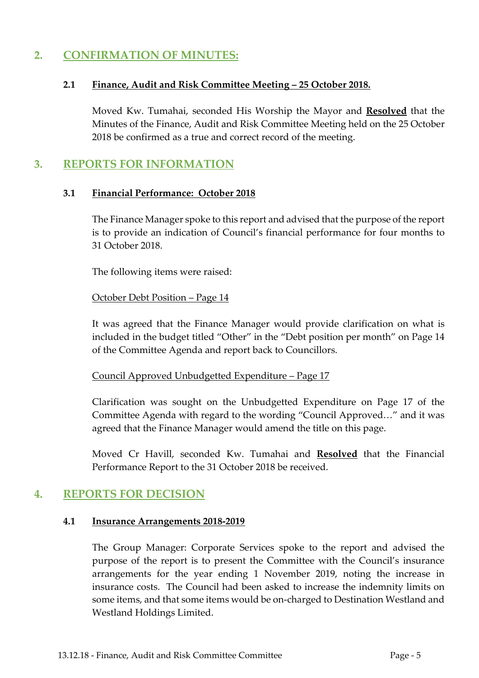#### **2. CONFIRMATION OF MINUTES:**

#### **2.1 Finance, Audit and Risk Committee Meeting – 25 October 2018.**

Moved Kw. Tumahai, seconded His Worship the Mayor and **Resolved** that the Minutes of the Finance, Audit and Risk Committee Meeting held on the 25 October 2018 be confirmed as a true and correct record of the meeting.

#### **3. REPORTS FOR INFORMATION**

#### **3.1 Financial Performance: October 2018**

The Finance Manager spoke to this report and advised that the purpose of the report is to provide an indication of Council's financial performance for four months to 31 October 2018.

The following items were raised:

October Debt Position – Page 14

It was agreed that the Finance Manager would provide clarification on what is included in the budget titled "Other" in the "Debt position per month" on Page 14 of the Committee Agenda and report back to Councillors.

Council Approved Unbudgetted Expenditure – Page 17

Clarification was sought on the Unbudgetted Expenditure on Page 17 of the Committee Agenda with regard to the wording "Council Approved…" and it was agreed that the Finance Manager would amend the title on this page.

Moved Cr Havill, seconded Kw. Tumahai and **Resolved** that the Financial Performance Report to the 31 October 2018 be received.

#### **4. REPORTS FOR DECISION**

#### **4.1 Insurance Arrangements 2018-2019**

The Group Manager: Corporate Services spoke to the report and advised the purpose of the report is to present the Committee with the Council's insurance arrangements for the year ending 1 November 2019, noting the increase in insurance costs. The Council had been asked to increase the indemnity limits on some items, and that some items would be on-charged to Destination Westland and Westland Holdings Limited.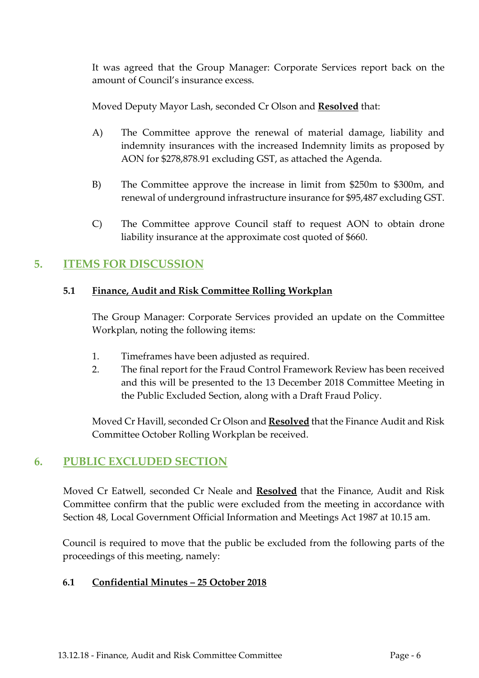It was agreed that the Group Manager: Corporate Services report back on the amount of Council's insurance excess.

Moved Deputy Mayor Lash, seconded Cr Olson and **Resolved** that:

- A) The Committee approve the renewal of material damage, liability and indemnity insurances with the increased Indemnity limits as proposed by AON for \$278,878.91 excluding GST, as attached the Agenda.
- B) The Committee approve the increase in limit from \$250m to \$300m, and renewal of underground infrastructure insurance for \$95,487 excluding GST.
- C) The Committee approve Council staff to request AON to obtain drone liability insurance at the approximate cost quoted of \$660.

#### **5. ITEMS FOR DISCUSSION**

#### **5.1 Finance, Audit and Risk Committee Rolling Workplan**

The Group Manager: Corporate Services provided an update on the Committee Workplan, noting the following items:

- 1. Timeframes have been adjusted as required.
- 2. The final report for the Fraud Control Framework Review has been received and this will be presented to the 13 December 2018 Committee Meeting in the Public Excluded Section, along with a Draft Fraud Policy.

Moved Cr Havill, seconded Cr Olson and **Resolved** that the Finance Audit and Risk Committee October Rolling Workplan be received.

#### **6. PUBLIC EXCLUDED SECTION**

Moved Cr Eatwell, seconded Cr Neale and **Resolved** that the Finance, Audit and Risk Committee confirm that the public were excluded from the meeting in accordance with Section 48, Local Government Official Information and Meetings Act 1987 at 10.15 am.

Council is required to move that the public be excluded from the following parts of the proceedings of this meeting, namely:

#### **6.1 Confidential Minutes – 25 October 2018**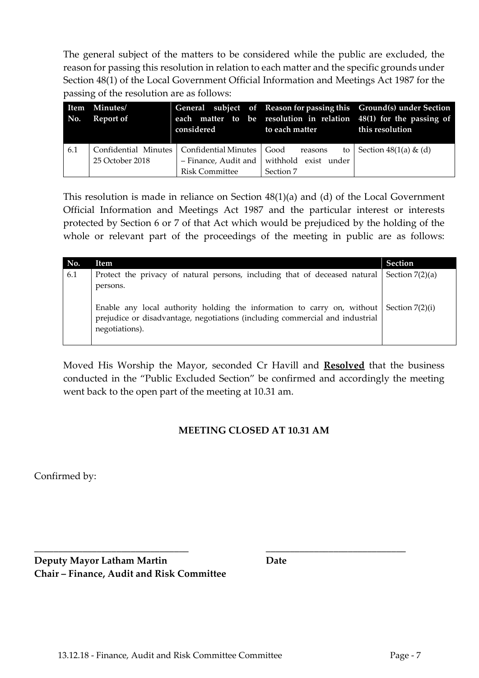The general subject of the matters to be considered while the public are excluded, the reason for passing this resolution in relation to each matter and the specific grounds under Section 48(1) of the Local Government Official Information and Meetings Act 1987 for the passing of the resolution are as follows:

| No. | Item Minutes/<br>Report of | considered                                                 | to each matter       | General subject of Reason for passing this Ground(s) under Section<br>each matter to be resolution in relation 48(1) for the passing of<br>this resolution |
|-----|----------------------------|------------------------------------------------------------|----------------------|------------------------------------------------------------------------------------------------------------------------------------------------------------|
| 6.1 |                            | Confidential Minutes   Confidential Minutes   Good reasons | to                   | Section $48(1(a) \& (d)$                                                                                                                                   |
|     | 25 October 2018            | - Finance, Audit and                                       | withhold exist under |                                                                                                                                                            |
|     |                            | <b>Risk Committee</b>                                      | Section 7            |                                                                                                                                                            |

This resolution is made in reliance on Section 48(1)(a) and (d) of the Local Government Official Information and Meetings Act 1987 and the particular interest or interests protected by Section 6 or 7 of that Act which would be prejudiced by the holding of the whole or relevant part of the proceedings of the meeting in public are as follows:

| No. | Item                                                                                                                                                                                              | <b>Section</b> |
|-----|---------------------------------------------------------------------------------------------------------------------------------------------------------------------------------------------------|----------------|
| 6.1 | Protect the privacy of natural persons, including that of deceased natural $\vert$ Section 7(2)(a)                                                                                                |                |
|     | persons.                                                                                                                                                                                          |                |
|     | Enable any local authority holding the information to carry on, without $\vert$ Section 7(2)(i)<br>prejudice or disadvantage, negotiations (including commercial and industrial<br>negotiations). |                |

Moved His Worship the Mayor, seconded Cr Havill and **Resolved** that the business conducted in the "Public Excluded Section" be confirmed and accordingly the meeting went back to the open part of the meeting at 10.31 am.

#### **MEETING CLOSED AT 10.31 AM**

**\_\_\_\_\_\_\_\_\_\_\_\_\_\_\_\_\_\_\_\_\_\_\_\_\_\_\_\_\_\_\_\_ \_\_\_\_\_\_\_\_\_\_\_\_\_\_\_\_\_\_\_\_\_\_\_\_\_\_\_\_\_**

Confirmed by:

**Deputy Mayor Latham Martin Date Chair – Finance, Audit and Risk Committee**